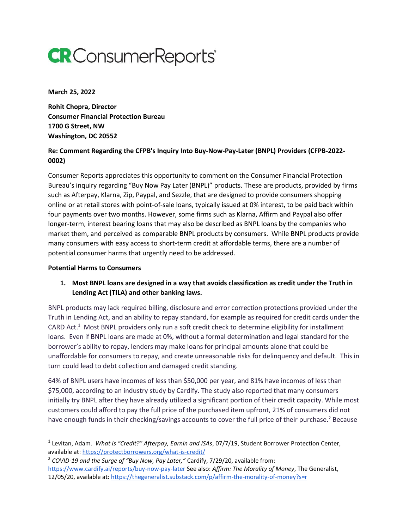# **CR** Consumer Reports<sup>®</sup>

**March 25, 2022**

**Rohit Chopra, Director Consumer Financial Protection Bureau 1700 G Street, NW Washington, DC 20552** 

## **Re: Comment Regarding the CFPB's Inquiry Into Buy-Now-Pay-Later (BNPL) Providers (CFPB-2022- 0002)**

Consumer Reports appreciates this opportunity to comment on the Consumer Financial Protection Bureau's inquiry regarding "Buy Now Pay Later (BNPL)" products. These are products, provided by firms such as Afterpay, Klarna, Zip, Paypal, and Sezzle, that are designed to provide consumers shopping online or at retail stores with point-of-sale loans, typically issued at 0% interest, to be paid back within four payments over two months. However, some firms such as Klarna, Affirm and Paypal also offer longer-term, interest bearing loans that may also be described as BNPL loans by the companies who market them, and perceived as comparable BNPL products by consumers. While BNPL products provide many consumers with easy access to short-term credit at affordable terms, there are a number of potential consumer harms that urgently need to be addressed.

#### **Potential Harms to Consumers**

# **1. Most BNPL loans are designed in a way that avoids classification as credit under the Truth in Lending Act (TILA) and other banking laws.**

BNPL products may lack required billing, disclosure and error correction protections provided under the Truth in Lending Act, and an ability to repay standard, for example as required for credit cards under the CARD Act.<sup>1</sup> Most BNPL providers only run a soft credit check to determine eligibility for installment loans. Even if BNPL loans are made at 0%, without a formal determination and legal standard for the borrower's ability to repay, lenders may make loans for principal amounts alone that could be unaffordable for consumers to repay, and create unreasonable risks for delinquency and default. This in turn could lead to debt collection and damaged credit standing.

64% of BNPL users have incomes of less than \$50,000 per year, and 81% have incomes of less than \$75,000, according to an industry study by Cardify. The study also reported that many consumers initially try BNPL after they have already utilized a significant portion of their credit capacity. While most customers could afford to pay the full price of the purchased item upfront, 21% of consumers did not have enough funds in their checking/savings accounts to cover the full price of their purchase.<sup>2</sup> Because

<sup>1</sup> Levitan, Adam. *What is "Credit?" Afterpay, Earnin and ISAs*, 07/7/19, Student Borrower Protection Center, available at[: https://protectborrowers.org/what-is-credit/](https://protectborrowers.org/what-is-credit/)

<sup>2</sup> *COVID-19 and the Surge of "Buy Now, Pay Later,"* Cardify, 7/29/20, available from: <https://www.cardify.ai/reports/buy-now-pay-later> See also: *Affirm: The Morality of Money*, The Generalist, 12/05/20, available at:<https://thegeneralist.substack.com/p/affirm-the-morality-of-money?s=r>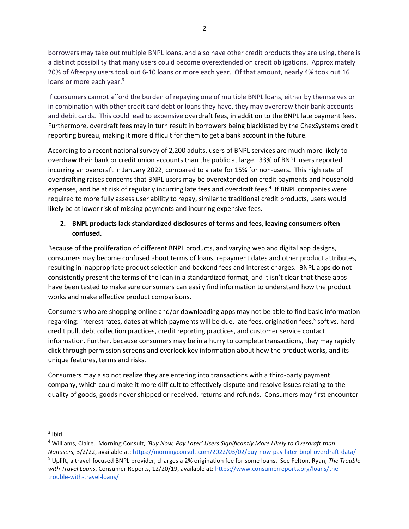borrowers may take out multiple BNPL loans, and also have other credit products they are using, there is a distinct possibility that many users could become overextended on credit obligations. Approximately 20% of Afterpay users took out 6-10 loans or more each year. Of that amount, nearly 4% took out 16 loans or more each year.<sup>3</sup>

If consumers cannot afford the burden of repaying one of multiple BNPL loans, either by themselves or in combination with other credit card debt or loans they have, they may overdraw their bank accounts and debit cards. This could lead to expensive overdraft fees, in addition to the BNPL late payment fees. Furthermore, overdraft fees may in turn result in borrowers being blacklisted by the ChexSystems credit reporting bureau, making it more difficult for them to get a bank account in the future.

According to a recent national survey of 2,200 adults, users of BNPL services are much more likely to overdraw their bank or credit union accounts than the public at large. 33% of BNPL users reported incurring an overdraft in January 2022, compared to a rate for 15% for non-users. This high rate of overdrafting raises concerns that BNPL users may be overextended on credit payments and household expenses, and be at risk of regularly incurring late fees and overdraft fees.<sup>4</sup> If BNPL companies were required to more fully assess user ability to repay, similar to traditional credit products, users would likely be at lower risk of missing payments and incurring expensive fees.

# **2. BNPL products lack standardized disclosures of terms and fees, leaving consumers often confused.**

Because of the proliferation of different BNPL products, and varying web and digital app designs, consumers may become confused about terms of loans, repayment dates and other product attributes, resulting in inappropriate product selection and backend fees and interest charges. BNPL apps do not consistently present the terms of the loan in a standardized format, and it isn't clear that these apps have been tested to make sure consumers can easily find information to understand how the product works and make effective product comparisons.

Consumers who are shopping online and/or downloading apps may not be able to find basic information regarding: interest rates, dates at which payments will be due, late fees, origination fees,<sup>5</sup> soft vs. hard credit pull, debt collection practices, credit reporting practices, and customer service contact information. Further, because consumers may be in a hurry to complete transactions, they may rapidly click through permission screens and overlook key information about how the product works, and its unique features, terms and risks.

Consumers may also not realize they are entering into transactions with a third-party payment company, which could make it more difficult to effectively dispute and resolve issues relating to the quality of goods, goods never shipped or received, returns and refunds. Consumers may first encounter

 $3$  Ibid.

<sup>4</sup> Williams, Claire. Morning Consult, *'Buy Now, Pay Later' Users Significantly More Likely to Overdraft than Nonusers,* 3/2/22, available at[: https://morningconsult.com/2022/03/02/buy-now-pay-later-bnpl-overdraft-data/](https://morningconsult.com/2022/03/02/buy-now-pay-later-bnpl-overdraft-data/) <sup>5</sup> Uplift, a travel-focused BNPL provider, charges a 2% origination fee for some loans. See Felton, Ryan, *The Trouble with Travel Loans*, Consumer Reports, 12/20/19, available at: [https://www.consumerreports.org/loans/the](https://www.consumerreports.org/loans/the-trouble-with-travel-loans/)[trouble-with-travel-loans/](https://www.consumerreports.org/loans/the-trouble-with-travel-loans/)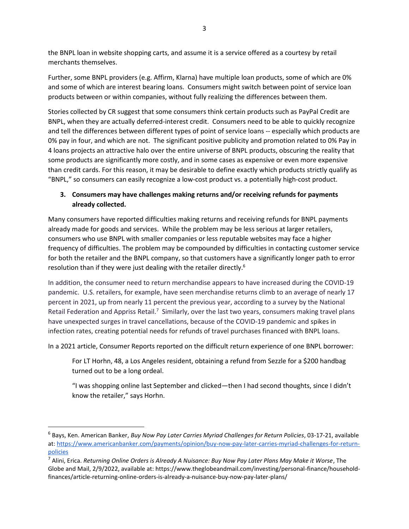the BNPL loan in website shopping carts, and assume it is a service offered as a courtesy by retail merchants themselves.

Further, some BNPL providers (e.g. Affirm, Klarna) have multiple loan products, some of which are 0% and some of which are interest bearing loans. Consumers might switch between point of service loan products between or within companies, without fully realizing the differences between them.

Stories collected by CR suggest that some consumers think certain products such as PayPal Credit are BNPL, when they are actually deferred-interest credit. Consumers need to be able to quickly recognize and tell the differences between different types of point of service loans -- especially which products are 0% pay in four, and which are not. The significant positive publicity and promotion related to 0% Pay in 4 loans projects an attractive halo over the entire universe of BNPL products, obscuring the reality that some products are significantly more costly, and in some cases as expensive or even more expensive than credit cards. For this reason, it may be desirable to define exactly which products strictly qualify as "BNPL," so consumers can easily recognize a low-cost product vs. a potentially high-cost product.

# **3. Consumers may have challenges making returns and/or receiving refunds for payments already collected.**

Many consumers have reported difficulties making returns and receiving refunds for BNPL payments already made for goods and services. While the problem may be less serious at larger retailers, consumers who use BNPL with smaller companies or less reputable websites may face a higher frequency of difficulties. The problem may be compounded by difficulties in contacting customer service for both the retailer and the BNPL company, so that customers have a significantly longer path to error resolution than if they were just dealing with the retailer directly.<sup>6</sup>

In addition, the consumer need to return merchandise appears to have increased during the COVID-19 pandemic. U.S. retailers, for example, have seen merchandise returns climb to an average of nearly 17 percent in 2021, up from nearly 11 percent the previous year, according to a survey by the National Retail Federation and Appriss Retail.<sup>7</sup> Similarly, over the last two years, consumers making travel plans have unexpected surges in travel cancellations, because of the COVID-19 pandemic and spikes in infection rates, creating potential needs for refunds of travel purchases financed with BNPL loans.

In a 2021 article, Consumer Reports reported on the difficult return experience of one BNPL borrower:

For LT Horhn, 48, a Los Angeles resident, obtaining a refund from Sezzle for a \$200 handbag turned out to be a long ordeal.

"I was shopping online last September and clicked—then I had second thoughts, since I didn't know the retailer," says Horhn.

<sup>6</sup> Bays, Ken. American Banker, *Buy Now Pay Later Carries Myriad Challenges for Return Policies*, 03-17-21, available at: [https://www.americanbanker.com/payments/opinion/buy-now-pay-later-carries-myriad-challenges-for-return](https://www.americanbanker.com/payments/opinion/buy-now-pay-later-carries-myriad-challenges-for-return-policies)[policies](https://www.americanbanker.com/payments/opinion/buy-now-pay-later-carries-myriad-challenges-for-return-policies)

<sup>7</sup> Alini, Erica. *Returning Online Orders is Already A Nuisance: Buy Now Pay Later Plans May Make it Worse*, The Globe and Mail, 2/9/2022, available at: https://www.theglobeandmail.com/investing/personal-finance/householdfinances/article-returning-online-orders-is-already-a-nuisance-buy-now-pay-later-plans/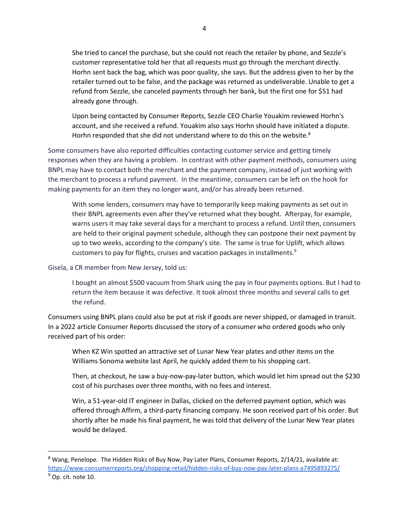She tried to cancel the purchase, but she could not reach the retailer by phone, and Sezzle's customer representative told her that all requests must go through the merchant directly. Horhn sent back the bag, which was poor quality, she says. But the address given to her by the retailer turned out to be false, and the package was returned as undeliverable. Unable to get a refund from Sezzle, she canceled payments through her bank, but the first one for \$51 had already gone through.

Upon being contacted by Consumer Reports, Sezzle CEO Charlie Youakim reviewed Horhn's account, and she received a refund. Youakim also says Horhn should have initiated a dispute. Horhn responded that she did not understand where to do this on the website.<sup>8</sup>

Some consumers have also reported difficulties contacting customer service and getting timely responses when they are having a problem. In contrast with other payment methods, consumers using BNPL may have to contact both the merchant and the payment company, instead of just working with the merchant to process a refund payment. In the meantime, consumers can be left on the hook for making payments for an item they no longer want, and/or has already been returned.

With some lenders, consumers may have to temporarily keep making payments as set out in their BNPL agreements even after they've returned what they bought. Afterpay, for example, warns users it may take several days for a merchant to process a refund. Until then, consumers are held to their original payment schedule, although they can postpone their next payment by up to two weeks, according to the company's site. The same is true for Uplift, which allows customers to pay for flights, cruises and vacation packages in installments.<sup>9</sup>

Gisela, a CR member from New Jersey, told us:

I bought an almost \$500 vacuum from Shark using the pay in four payments options. But I had to return the item because it was defective. It took almost three months and several calls to get the refund.

Consumers using BNPL plans could also be put at risk if goods are never shipped, or damaged in transit. In a 2022 article Consumer Reports discussed the story of a consumer who ordered goods who only received part of his order:

When KZ Win spotted an attractive set of Lunar New Year plates and other items on the Williams Sonoma website last April, he quickly added them to his shopping cart.

Then, at checkout, he saw a buy-now-pay-later button, which would let him spread out the \$230 cost of his purchases over three months, with no fees and interest.

Win, a 51-year-old IT engineer in Dallas, clicked on the deferred payment option, which was offered through Affirm, a third-party financing company. He soon received part of his order. But shortly after he made his final payment, he was told that delivery of the Lunar New Year plates would be delayed.

 $8$  Wang, Penelope. The Hidden Risks of Buy Now, Pay Later Plans, Consumer Reports, 2/14/21, available at: <https://www.consumerreports.org/shopping-retail/hidden-risks-of-buy-now-pay-later-plans-a7495893275/>  $9$  Op. cit. note 10.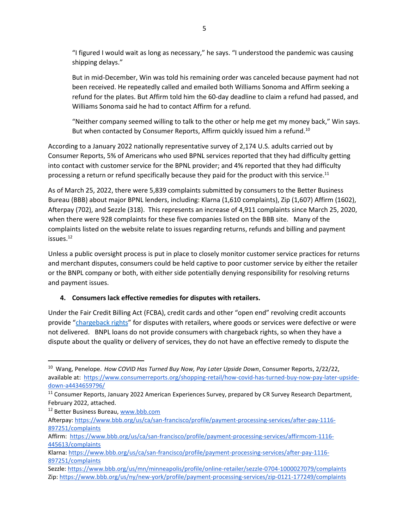"I figured I would wait as long as necessary," he says. "I understood the pandemic was causing shipping delays."

But in mid-December, Win was told his remaining order was canceled because payment had not been received. He repeatedly called and emailed both Williams Sonoma and Affirm seeking a refund for the plates. But Affirm told him the 60-day deadline to claim a refund had passed, and Williams Sonoma said he had to contact Affirm for a refund.

"Neither company seemed willing to talk to the other or help me get my money back," Win says. But when contacted by Consumer Reports, Affirm quickly issued him a refund.<sup>10</sup>

According to a January 2022 nationally representative survey of 2,174 U.S. adults carried out by Consumer Reports, 5% of Americans who used BPNL services reported that they had difficulty getting into contact with customer service for the BPNL provider; and 4% reported that they had difficulty processing a return or refund specifically because they paid for the product with this service.<sup>11</sup>

As of March 25, 2022, there were 5,839 complaints submitted by consumers to the Better Business Bureau (BBB) about major BPNL lenders, including: Klarna (1,610 complaints), Zip (1,607) Affirm (1602), Afterpay (702), and Sezzle (318). This represents an increase of 4,911 complaints since March 25, 2020, when there were 928 complaints for these five companies listed on the BBB site. Many of the complaints listed on the website relate to issues regarding returns, refunds and billing and payment issues.<sup>12</sup>

Unless a public oversight process is put in place to closely monitor customer service practices for returns and merchant disputes, consumers could be held captive to poor customer service by either the retailer or the BNPL company or both, with either side potentially denying responsibility for resolving returns and payment issues.

### **4. Consumers lack effective remedies for disputes with retailers.**

Under the Fair Credit Billing Act (FCBA), credit cards and other "open end" revolving credit accounts provide "[chargeback rights](https://www.consumer.ftc.gov/articles/0219-disputing-credit-card-charges)" for disputes with retailers, where goods or services were defective or were not delivered. BNPL loans do not provide consumers with chargeback rights, so when they have a dispute about the quality or delivery of services, they do not have an effective remedy to dispute the

<sup>12</sup> Better Business Bureau, www.bbb.com

<sup>10</sup> Wang, Penelope. *How COVID Has Turned Buy Now, Pay Later Upside Down*, Consumer Reports, 2/22/22, available at[: https://www.consumerreports.org/shopping-retail/how-covid-has-turned-buy-now-pay-later-upside](https://www.consumerreports.org/shopping-retail/how-covid-has-turned-buy-now-pay-later-upside-down-a4434659796/)[down-a4434659796/](https://www.consumerreports.org/shopping-retail/how-covid-has-turned-buy-now-pay-later-upside-down-a4434659796/) 

<sup>&</sup>lt;sup>11</sup> Consumer Reports, January 2022 American Experiences Survey, prepared by CR Survey Research Department, February 2022, attached.

Afterpay: [https://www.bbb.org/us/ca/san-francisco/profile/payment-processing-services/after-pay-1116-](https://www.bbb.org/us/ca/san-francisco/profile/payment-processing-services/after-pay-1116-897251/complaints) [897251/complaints](https://www.bbb.org/us/ca/san-francisco/profile/payment-processing-services/after-pay-1116-897251/complaints) 

Affirm: [https://www.bbb.org/us/ca/san-francisco/profile/payment-processing-services/affirmcom-1116-](https://www.bbb.org/us/ca/san-francisco/profile/payment-processing-services/affirmcom-1116-445613/complaints) [445613/complaints](https://www.bbb.org/us/ca/san-francisco/profile/payment-processing-services/affirmcom-1116-445613/complaints)

Klarna[: https://www.bbb.org/us/ca/san-francisco/profile/payment-processing-services/after-pay-1116-](https://www.bbb.org/us/ca/san-francisco/profile/payment-processing-services/after-pay-1116-897251/complaints) [897251/complaints](https://www.bbb.org/us/ca/san-francisco/profile/payment-processing-services/after-pay-1116-897251/complaints)

Sezzle[: https://www.bbb.org/us/mn/minneapolis/profile/online-retailer/sezzle-0704-1000027079/complaints](https://www.bbb.org/us/mn/minneapolis/profile/online-retailer/sezzle-0704-1000027079/complaints) Zip:<https://www.bbb.org/us/ny/new-york/profile/payment-processing-services/zip-0121-177249/complaints>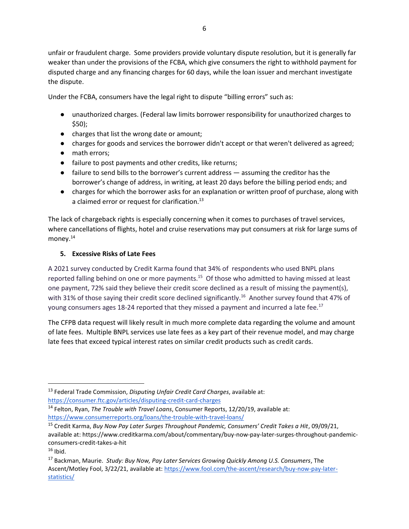unfair or fraudulent charge. Some providers provide voluntary dispute resolution, but it is generally far weaker than under the provisions of the FCBA, which give consumers the right to withhold payment for disputed charge and any financing charges for 60 days, while the loan issuer and merchant investigate the dispute.

Under the FCBA, consumers have the legal right to dispute "billing errors" such as:

- unauthorized charges. (Federal law limits borrower responsibility for unauthorized charges to \$50);
- charges that list the wrong date or amount;
- charges for goods and services the borrower didn't accept or that weren't delivered as agreed;
- math errors;
- failure to post payments and other credits, like returns;
- failure to send bills to the borrower's current address assuming the creditor has the borrower's change of address, in writing, at least 20 days before the billing period ends; and
- charges for which the borrower asks for an explanation or written proof of purchase, along with a claimed error or request for clarification.<sup>13</sup>

The lack of chargeback rights is especially concerning when it comes to purchases of travel services, where cancellations of flights, hotel and cruise reservations may put consumers at risk for large sums of money.<sup>14</sup>

# **5. Excessive Risks of Late Fees**

A 2021 survey conducted by Credit Karma found that 34% of respondents who used BNPL plans reported falling behind on one or more payments.<sup>15</sup> Of those who admitted to having missed at least one payment, 72% said they believe their credit score declined as a result of missing the payment(s), with 31% of those saying their credit score declined significantly.<sup>16</sup> Another survey found that 47% of young consumers ages 18-24 reported that they missed a payment and incurred a late fee.<sup>17</sup>

The CFPB data request will likely result in much more complete data regarding the volume and amount of late fees. Multiple BNPL services use late fees as a key part of their revenue model, and may charge late fees that exceed typical interest rates on similar credit products such as credit cards.

<sup>13</sup> Federal Trade Commission, *Disputing Unfair Credit Card Charges*, available at: <https://consumer.ftc.gov/articles/disputing-credit-card-charges>

<sup>14</sup> Felton, Ryan, *The Trouble with Travel Loans*, Consumer Reports, 12/20/19, available at:

<https://www.consumerreports.org/loans/the-trouble-with-travel-loans/>

<sup>15</sup> Credit Karma, *Buy Now Pay Later Surges Throughout Pandemic, Consumers' Credit Takes a Hit*, 09/09/21, available at: https://www.creditkarma.com/about/commentary/buy-now-pay-later-surges-throughout-pandemicconsumers-credit-takes-a-hit

 $16$  Ibid.

<sup>17</sup> Backman, Maurie. *Study: Buy Now, Pay Later Services Growing Quickly Among U.S. Consumers*, The Ascent/Motley Fool, 3/22/21, available at: [https://www.fool.com/the-ascent/research/buy-now-pay-later](https://www.fool.com/the-ascent/research/buy-now-pay-later-statistics/)[statistics/](https://www.fool.com/the-ascent/research/buy-now-pay-later-statistics/)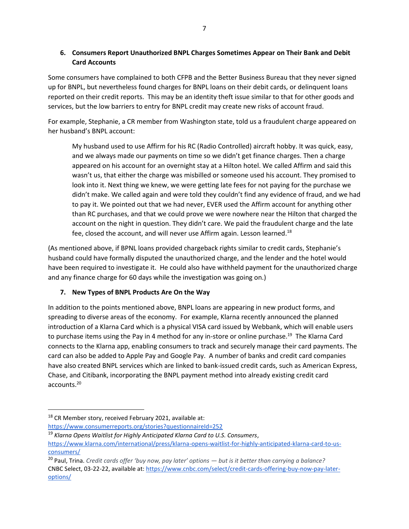**6. Consumers Report Unauthorized BNPL Charges Sometimes Appear on Their Bank and Debit Card Accounts**

Some consumers have complained to both CFPB and the Better Business Bureau that they never signed up for BNPL, but nevertheless found charges for BNPL loans on their debit cards, or delinquent loans reported on their credit reports. This may be an identity theft issue similar to that for other goods and services, but the low barriers to entry for BNPL credit may create new risks of account fraud.

For example, Stephanie, a CR member from Washington state, told us a fraudulent charge appeared on her husband's BNPL account:

My husband used to use Affirm for his RC (Radio Controlled) aircraft hobby. It was quick, easy, and we always made our payments on time so we didn't get finance charges. Then a charge appeared on his account for an overnight stay at a Hilton hotel. We called Affirm and said this wasn't us, that either the charge was misbilled or someone used his account. They promised to look into it. Next thing we knew, we were getting late fees for not paying for the purchase we didn't make. We called again and were told they couldn't find any evidence of fraud, and we had to pay it. We pointed out that we had never, EVER used the Affirm account for anything other than RC purchases, and that we could prove we were nowhere near the Hilton that charged the account on the night in question. They didn't care. We paid the fraudulent charge and the late fee, closed the account, and will never use Affirm again. Lesson learned.<sup>18</sup>

(As mentioned above, if BPNL loans provided chargeback rights similar to credit cards, Stephanie's husband could have formally disputed the unauthorized charge, and the lender and the hotel would have been required to investigate it. He could also have withheld payment for the unauthorized charge and any finance charge for 60 days while the investigation was going on.)

# **7. New Types of BNPL Products Are On the Way**

In addition to the points mentioned above, BNPL loans are appearing in new product forms, and spreading to diverse areas of the economy. For example, Klarna recently announced the planned introduction of a Klarna Card which is a physical VISA card issued by Webbank, which will enable users to purchase items using the Pay in 4 method for any in-store or online purchase.<sup>19</sup> The Klarna Card connects to the Klarna app, enabling consumers to track and securely manage their card payments. The card can also be added to Apple Pay and Google Pay. A number of banks and credit card companies have also created BNPL services which are linked to bank-issued credit cards, such as American Express, Chase, and Citibank, incorporating the BNPL payment method into already existing credit card accounts.<sup>20</sup>

 $18$  CR Member story, received February 2021, available at:

<https://www.consumerreports.org/stories?questionnaireId=252>

<sup>19</sup> *Klarna Opens Waitlist for Highly Anticipated Klarna Card to U.S. Consumers*, [https://www.klarna.com/international/press/klarna-opens-waitlist-for-highly-anticipated-klarna-card-to-us](https://www.klarna.com/international/press/klarna-opens-waitlist-for-highly-anticipated-klarna-card-to-us-consumers/)[consumers/](https://www.klarna.com/international/press/klarna-opens-waitlist-for-highly-anticipated-klarna-card-to-us-consumers/)

<sup>20</sup> Paul, Trina. *Credit cards offer 'buy now, pay later' options — but is it better than carrying a balance?* CNBC Select, 03-22-22, available at[: https://www.cnbc.com/select/credit-cards-offering-buy-now-pay-later](https://www.cnbc.com/select/credit-cards-offering-buy-now-pay-later-options/)[options/](https://www.cnbc.com/select/credit-cards-offering-buy-now-pay-later-options/)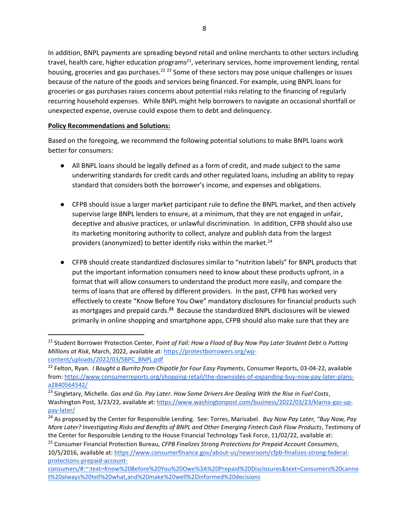In addition, BNPL payments are spreading beyond retail and online merchants to other sectors including travel, health care, higher education programs<sup>21</sup>, veterinary services, home improvement lending, rental housing, groceries and gas purchases.<sup>22 23</sup> Some of these sectors may pose unique challenges or issues because of the nature of the goods and services being financed. For example, using BNPL loans for groceries or gas purchases raises concerns about potential risks relating to the financing of regularly recurring household expenses. While BNPL might help borrowers to navigate an occasional shortfall or unexpected expense, overuse could expose them to debt and delinquency.

#### **Policy Recommendations and Solutions:**

Based on the foregoing, we recommend the following potential solutions to make BNPL loans work better for consumers:

- All BNPL loans should be legally defined as a form of credit, and made subject to the same underwriting standards for credit cards and other regulated loans, including an ability to repay standard that considers both the borrower's income, and expenses and obligations.
- CFPB should issue a larger market participant rule to define the BNPL market, and then actively supervise large BNPL lenders to ensure, at a minimum, that they are not engaged in unfair, deceptive and abusive practices, or unlawful discrimination. In addition, CFPB should also use its marketing monitoring authority to collect, analyze and publish data from the largest providers (anonymized) to better identify risks within the market. $^{24}$
- CFPB should create standardized disclosures similar to "nutrition labels" for BNPL products that put the important information consumers need to know about these products upfront, in a format that will allow consumers to understand the product more easily, and compare the terms of loans that are offered by different providers. In the past, CFPB has worked very effectively to create "Know Before You Owe" mandatory disclosures for financial products such as mortgages and prepaid cards.<sup>25</sup> Because the standardized BNPL disclosures will be viewed primarily in online shopping and smartphone apps, CFPB should also make sure that they are

<sup>21</sup> Student Borrower Protection Center, P*oint of Fail: How a Flood of Buy Now Pay Later Student Debt is Putting Millions at Risk*, March, 2022, available at: [https://protectborrowers.org/wp](https://protectborrowers.org/wp-content/uploads/2022/03/SBPC_BNPL.pdf)[content/uploads/2022/03/SBPC\\_BNPL.pdf](https://protectborrowers.org/wp-content/uploads/2022/03/SBPC_BNPL.pdf)

<sup>22</sup> Felton, Ryan. *I Bought a Burrito from Chipotle for Four Easy Payments*, Consumer Reports, 03-04-22, available from[: https://www.consumerreports.org/shopping-retail/the-downsides-of-expanding-buy-now-pay-later-plans](https://www.consumerreports.org/shopping-retail/the-downsides-of-expanding-buy-now-pay-later-plans-a2840564542/)[a2840564542/](https://www.consumerreports.org/shopping-retail/the-downsides-of-expanding-buy-now-pay-later-plans-a2840564542/)

<sup>23</sup> Singletary, Michelle. *Gas and Go. Pay Later. How Some Drivers Are Dealing With the Rise in Fuel Costs*, Washington Post, 3/23/22, available at: [https://www.washingtonpost.com/business/2022/03/23/klarna-gas-up](https://www.washingtonpost.com/business/2022/03/23/klarna-gas-up-pay-later/)[pay-later/](https://www.washingtonpost.com/business/2022/03/23/klarna-gas-up-pay-later/) 

<sup>24</sup> As proposed by the Center for Responsible Lending. See: Torres, Marisabel. *Buy Now Pay Later, "Buy Now, Pay More Later? Investigating Risks and Benefits of BNPL and Other Emerging Fintech Cash Flow Products*, Testimony of the Center for Responsible Lending to the House Financial Technology Task Force, 11/02/22, available at:

<sup>25</sup> Consumer Financial Protection Bureau, *CFPB Finalizes Strong Protections for Prepaid Account Consumers*, 10/5/2016, available at: [https://www.consumerfinance.gov/about-us/newsroom/cfpb-finalizes-strong-federal](https://www.consumerfinance.gov/about-us/newsroom/cfpb-finalizes-strong-federal-protections-prepaid-account-consumers/#:~:text=Know%20Before%20You%20Owe%3A%20Prepaid%20Disclosures&text=Consumers%20cannot%20always%20tell%20what,and%20make%20well%2Dinformed%20decisions)[protections-prepaid-account-](https://www.consumerfinance.gov/about-us/newsroom/cfpb-finalizes-strong-federal-protections-prepaid-account-consumers/#:~:text=Know%20Before%20You%20Owe%3A%20Prepaid%20Disclosures&text=Consumers%20cannot%20always%20tell%20what,and%20make%20well%2Dinformed%20decisions)

[consumers/#:~:text=Know%20Before%20You%20Owe%3A%20Prepaid%20Disclosures&text=Consumers%20canno](https://www.consumerfinance.gov/about-us/newsroom/cfpb-finalizes-strong-federal-protections-prepaid-account-consumers/#:~:text=Know%20Before%20You%20Owe%3A%20Prepaid%20Disclosures&text=Consumers%20cannot%20always%20tell%20what,and%20make%20well%2Dinformed%20decisions) [t%20always%20tell%20what,and%20make%20well%2Dinformed%20decisions](https://www.consumerfinance.gov/about-us/newsroom/cfpb-finalizes-strong-federal-protections-prepaid-account-consumers/#:~:text=Know%20Before%20You%20Owe%3A%20Prepaid%20Disclosures&text=Consumers%20cannot%20always%20tell%20what,and%20make%20well%2Dinformed%20decisions)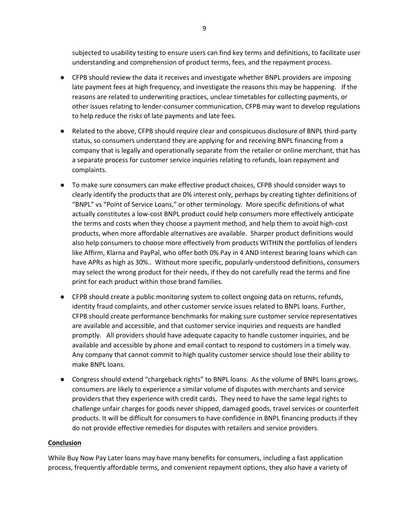subjected to usability testing to ensure users can find key terms and definitions, to facilitate user understanding and comprehension of product terms, fees, and the repayment process.

- CFPB should review the data it receives and investigate whether BNPL providers are imposing late payment fees at high frequency, and investigate the reasons this may be happening. If the reasons are related to underwriting practices, unclear timetables for collecting payments, or other issues relating to lender-consumer communication, CFPB may want to develop regulations to help reduce the risks of late payments and late fees.
- Related to the above, CFPB should require clear and conspicuous disclosure of BNPL third-party status, so consumers understand they are applying for and receiving BNPL financing from a company that is legally and operationally separate from the retailer or online merchant, that has a separate process for customer service inquiries relating to refunds, loan repayment and complaints.
- To make sure consumers can make effective product choices, CFPB should consider ways to clearly identify the products that are 0% interest only, perhaps by creating tighter definitions of "BNPL" vs "Point of Service Loans," or other terminology. More specific definitions of what actually constitutes a low-cost BNPL product could help consumers more effectively anticipate the terms and costs when they choose a payment method, and help them to avoid high-cost products, when more affordable alternatives are available. Sharper product definitions would also help consumers to choose more effectively from products WITHIN the portfolios of lenders like Affirm, Klarna and PayPal, who offer both 0% Pay in 4 AND interest bearing loans which can have APRs as high as 30%.. Without more specific, popularly-understood definitions, consumers may select the wrong product for their needs, if they do not carefully read the terms and fine print for each product within those brand families.
- CFPB should create a public monitoring system to collect ongoing data on returns, refunds, identity fraud complaints, and other customer service issues related to BNPL loans. Further, CFPB should create performance benchmarks for making sure customer service representatives are available and accessible, and that customer service inquiries and requests are handled promptly. All providers should have adequate capacity to handle customer inquiries, and be available and accessible by phone and email contact to respond to customers in a timely way. Any company that cannot commit to high quality customer service should lose their ability to make BNPL loans.
- Congress should extend "chargeback rights" to BNPL loans. As the volume of BNPL loans grows, consumers are likely to experience a similar volume of disputes with merchants and service providers that they experience with credit cards. They need to have the same legal rights to challenge unfair charges for goods never shipped, damaged goods, travel services or counterfeit products. It will be difficult for consumers to have confidence in BNPL financing products if they do not provide effective remedies for disputes with retailers and service providers.

#### **Conclusion**

While Buy Now Pay Later loans may have many benefits for consumers, including a fast application process, frequently affordable terms, and convenient repayment options, they also have a variety of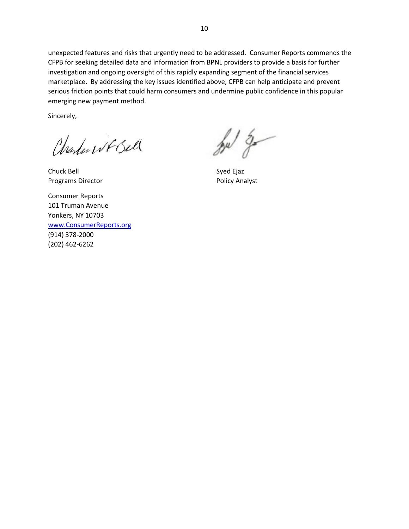unexpected features and risks that urgently need to be addressed. Consumer Reports commends the CFPB for seeking detailed data and information from BPNL providers to provide a basis for further investigation and ongoing oversight of this rapidly expanding segment of the financial services marketplace. By addressing the key issues identified above, CFPB can help anticipate and prevent serious friction points that could harm consumers and undermine public confidence in this popular emerging new payment method.

Sincerely,

Charles WF Bell

Chuck Bell Syed Ejaz Programs Director **Programs** Director **Policy Analyst** 

Consumer Reports 101 Truman Avenue Yonkers, NY 10703 [www.ConsumerReports.org](http://www.consumerreports.org/) (914) 378-2000 (202) 462-6262

 $\frac{1}{2}$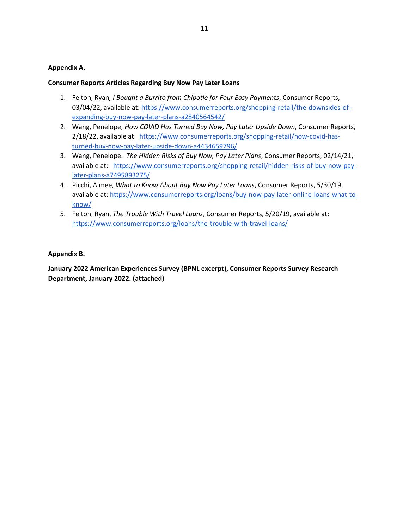#### **Appendix A.**

#### **Consumer Reports Articles Regarding Buy Now Pay Later Loans**

- 1. Felton, Ryan*, I Bought a Burrito from Chipotle for Four Easy Payments*, Consumer Reports, 03/04/22, available at[: https://www.consumerreports.org/shopping-retail/the-downsides-of](https://www.consumerreports.org/shopping-retail/the-downsides-of-expanding-buy-now-pay-later-plans-a2840564542/)[expanding-buy-now-pay-later-plans-a2840564542/](https://www.consumerreports.org/shopping-retail/the-downsides-of-expanding-buy-now-pay-later-plans-a2840564542/)
- 2. Wang, Penelope, *How COVID Has Turned Buy Now, Pay Later Upside Down*, Consumer Reports, 2/18/22, available at: [https://www.consumerreports.org/shopping-retail/how-covid-has](https://www.consumerreports.org/shopping-retail/how-covid-has-turned-buy-now-pay-later-upside-down-a4434659796/)[turned-buy-now-pay-later-upside-down-a4434659796/](https://www.consumerreports.org/shopping-retail/how-covid-has-turned-buy-now-pay-later-upside-down-a4434659796/)
- 3. Wang, Penelope. *The Hidden Risks of Buy Now, Pay Later Plans*, Consumer Reports, 02/14/21, available at: [https://www.consumerreports.org/shopping-retail/hidden-risks-of-buy-now-pay](https://www.consumerreports.org/shopping-retail/hidden-risks-of-buy-now-pay-later-plans-a7495893275/)[later-plans-a7495893275/](https://www.consumerreports.org/shopping-retail/hidden-risks-of-buy-now-pay-later-plans-a7495893275/)
- 4. Picchi, Aimee, *What to Know About Buy Now Pay Later Loans*, Consumer Reports, 5/30/19, available at[: https://www.consumerreports.org/loans/buy-now-pay-later-online-loans-what-to](https://www.consumerreports.org/loans/buy-now-pay-later-online-loans-what-to-know/)[know/](https://www.consumerreports.org/loans/buy-now-pay-later-online-loans-what-to-know/)
- 5. Felton, Ryan, *The Trouble With Travel Loans*, Consumer Reports, 5/20/19, available at: <https://www.consumerreports.org/loans/the-trouble-with-travel-loans/>

#### **Appendix B.**

**January 2022 American Experiences Survey (BPNL excerpt), Consumer Reports Survey Research Department, January 2022. (attached)**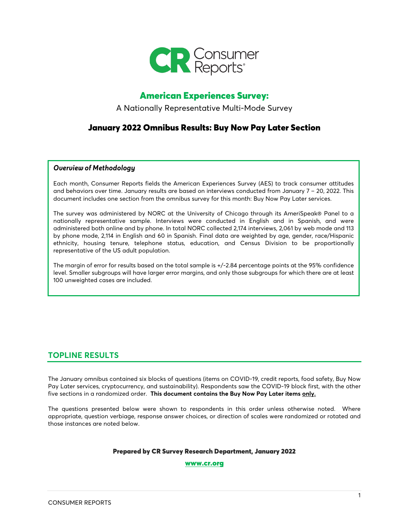

# American Experiences Survey:

A Nationally Representative Multi-Mode Survey

# January 2022 Omnibus Results: Buy Now Pay Later Section

#### *Overview of Methodology*

Each month, Consumer Reports fields the American Experiences Survey (AES) to track consumer attitudes and behaviors over time. January results are based on interviews conducted from January 7 – 20, 2022. This document includes one section from the omnibus survey for this month: Buy Now Pay Later services.

The survey was administered by NORC at the University of Chicago through its AmeriSpeak® Panel to a nationally representative sample. Interviews were conducted in English and in Spanish, and were administered both online and by phone. In total NORC collected 2,174 interviews, 2,061 by web mode and 113 by phone mode, 2,114 in English and 60 in Spanish. Final data are weighted by age, gender, race/Hispanic ethnicity, housing tenure, telephone status, education, and Census Division to be proportionally representative of the US adult population.

The margin of error for results based on the total sample is +/-2.84 percentage points at the 95% confidence level. Smaller subgroups will have larger error margins, and only those subgroups for which there are at least 100 unweighted cases are included.

# **TOPLINE RESULTS**

The January omnibus contained six blocks of questions (items on COVID-19, credit reports, food safety, Buy Now Pay Later services, cryptocurrency, and sustainability). Respondents saw the COVID-19 block first, with the other five sections in a randomized order. **This document contains the Buy Now Pay Later items only.**

The questions presented below were shown to respondents in this order unless otherwise noted. Where appropriate, question verbiage, response answer choices, or direction of scales were randomized or rotated and those instances are noted below.

#### Prepared by CR Survey Research Department, January 2022

#### [www.cr.org](http://www.cr.org/)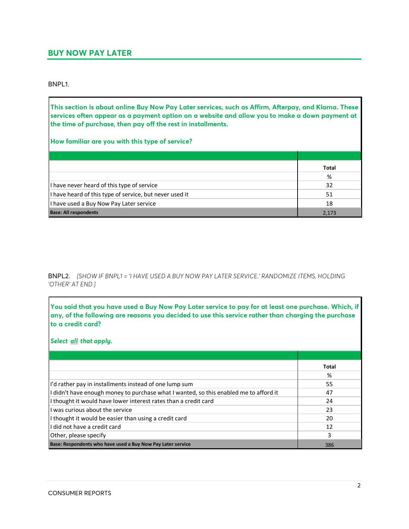# **BUY NOW PAY LATER**

BNPL1.

**This section is about online Buy Now Pay Later services, such as Affirm, Afterpay, and Klarna. These services often appear as a payment option on a website and allow you to make a down payment at the time of purchase, then pay off the rest in installments.**

**How familiar are you with this type of service?**

|                                                         | <b>Total</b> |
|---------------------------------------------------------|--------------|
|                                                         | %            |
| I have never heard of this type of service              | 32           |
| I have heard of this type of service, but never used it | 51           |
| I have used a Buy Now Pay Later service                 | 18           |
| <b>Base: All respondents</b>                            | 2.173        |

BNPL2. *[SHOW IF BNPL1 = 'I HAVE USED A BUY NOW PAY LATER SERVICE.' RANDOMIZE ITEMS, HOLDING 'OTHER' AT END.]*

| You said that you have used a Buy Now Pay Later service to pay for at least one purchase. Which, if<br>any, of the following are reasons you decided to use this service rather than charging the purchase<br>to a credit card? |              |
|---------------------------------------------------------------------------------------------------------------------------------------------------------------------------------------------------------------------------------|--------------|
| Select all that apply.                                                                                                                                                                                                          |              |
|                                                                                                                                                                                                                                 |              |
|                                                                                                                                                                                                                                 | <b>Total</b> |
|                                                                                                                                                                                                                                 | %            |
| I'd rather pay in installments instead of one lump sum                                                                                                                                                                          | 55           |
| I didn't have enough money to purchase what I wanted, so this enabled me to afford it                                                                                                                                           | 47           |
| I thought it would have lower interest rates than a credit card                                                                                                                                                                 | 24           |
| I was curious about the service                                                                                                                                                                                                 | 23           |
| I thought it would be easier than using a credit card                                                                                                                                                                           | 20           |
| I did not have a credit card                                                                                                                                                                                                    | 12           |
| Other, please specify                                                                                                                                                                                                           | 3            |
| Base: Respondents who have used a Buy Now Pay Later service                                                                                                                                                                     | 386          |